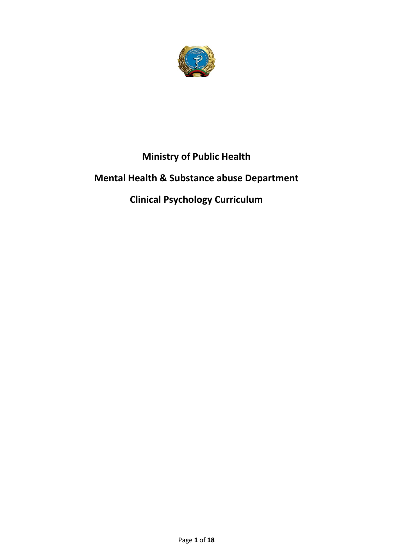

# **Ministry of Public Health**

# **Mental Health & Substance abuse Department**

# **Clinical Psychology Curriculum**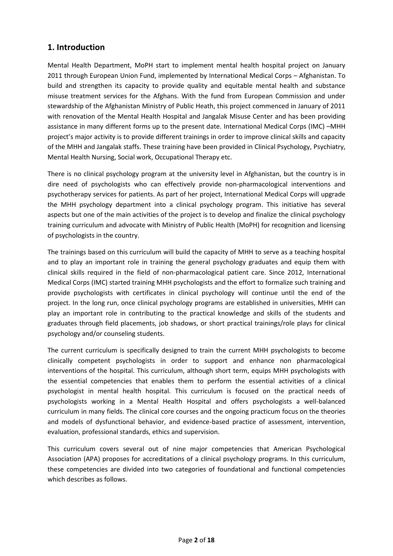## **1. Introduction**

Mental Health Department, MoPH start to implement mental health hospital project on January 2011 through European Union Fund, implemented by International Medical Corps – Afghanistan. To build and strengthen its capacity to provide quality and equitable mental health and substance misuse treatment services for the Afghans. With the fund from European Commission and under stewardship of the Afghanistan Ministry of Public Heath, this project commenced in January of 2011 with renovation of the Mental Health Hospital and Jangalak Misuse Center and has been providing assistance in many different forms up to the present date. International Medical Corps (IMC) –MHH project's major activity is to provide different trainings in order to improve clinical skills and capacity of the MHH and Jangalak staffs. These training have been provided in Clinical Psychology, Psychiatry, Mental Health Nursing, Social work, Occupational Therapy etc.

There is no clinical psychology program at the university level in Afghanistan, but the country is in dire need of psychologists who can effectively provide non-pharmacological interventions and psychotherapy services for patients. As part of her project, International Medical Corps will upgrade the MHH psychology department into a clinical psychology program. This initiative has several aspects but one of the main activities of the project is to develop and finalize the clinical psychology training curriculum and advocate with Ministry of Public Health (MoPH) for recognition and licensing of psychologists in the country.

The trainings based on this curriculum will build the capacity of MHH to serve as a teaching hospital and to play an important role in training the general psychology graduates and equip them with clinical skills required in the field of non-pharmacological patient care. Since 2012, International Medical Corps (IMC) started training MHH psychologists and the effort to formalize such training and provide psychologists with certificates in clinical psychology will continue until the end of the project. In the long run, once clinical psychology programs are established in universities, MHH can play an important role in contributing to the practical knowledge and skills of the students and graduates through field placements, job shadows, or short practical trainings/role plays for clinical psychology and/or counseling students.

The current curriculum is specifically designed to train the current MHH psychologists to become clinically competent psychologists in order to support and enhance non pharmacological interventions of the hospital. This curriculum, although short term, equips MHH psychologists with the essential competencies that enables them to perform the essential activities of a clinical psychologist in mental health hospital. This curriculum is focused on the practical needs of psychologists working in a Mental Health Hospital and offers psychologists a well-balanced curriculum in many fields. The clinical core courses and the ongoing practicum focus on the theories and models of dysfunctional behavior, and evidence-based practice of assessment, intervention, evaluation, professional standards, ethics and supervision.

This curriculum covers several out of nine major competencies that American Psychological Association (APA) proposes for accreditations of a clinical psychology programs. In this curriculum, these competencies are divided into two categories of foundational and functional competencies which describes as follows.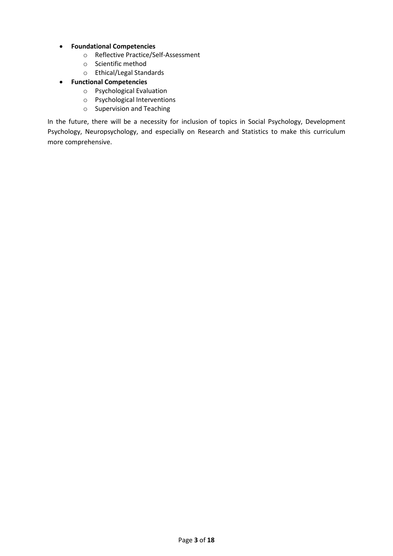- **Foundational Competencies**
	- o Reflective Practice/Self-Assessment
	- o Scientific method
	- o Ethical/Legal Standards
- **Functional Competencies**
	- o Psychological Evaluation
	- o Psychological Interventions
	- o Supervision and Teaching

In the future, there will be a necessity for inclusion of topics in Social Psychology, Development Psychology, Neuropsychology, and especially on Research and Statistics to make this curriculum more comprehensive.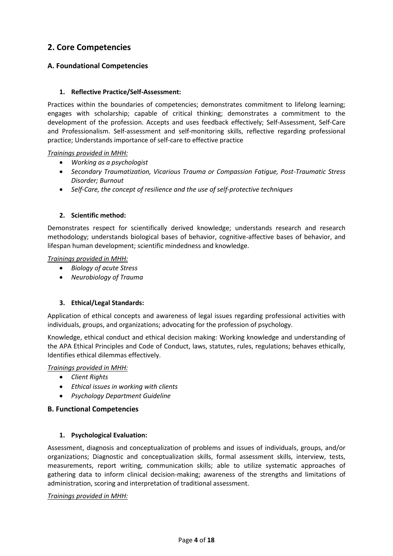## **2. Core Competencies**

### **A. Foundational Competencies**

### **1. Reflective Practice/Self-Assessment:**

Practices within the boundaries of competencies; demonstrates commitment to lifelong learning; engages with scholarship; capable of critical thinking; demonstrates a commitment to the development of the profession. Accepts and uses feedback effectively; Self-Assessment, Self-Care and Professionalism. Self-assessment and self-monitoring skills, reflective regarding professional practice; Understands importance of self-care to effective practice

#### *Trainings provided in MHH:*

- *Working as a psychologist*
- *Secondary Traumatization, Vicarious Trauma or Compassion Fatigue, Post-Traumatic Stress Disorder; Burnout*
- *Self-Care, the concept of resilience and the use of self-protective techniques*

#### **2. Scientific method:**

Demonstrates respect for scientifically derived knowledge; understands research and research methodology; understands biological bases of behavior, cognitive-affective bases of behavior, and lifespan human development; scientific mindedness and knowledge.

#### *Trainings provided in MHH:*

- *Biology of acute Stress*
- *Neurobiology of Trauma*

### **3. Ethical/Legal Standards:**

Application of ethical concepts and awareness of legal issues regarding professional activities with individuals, groups, and organizations; advocating for the profession of psychology.

Knowledge, ethical conduct and ethical decision making: Working knowledge and understanding of the APA Ethical Principles and Code of Conduct, laws, statutes, rules, regulations; behaves ethically, Identifies ethical dilemmas effectively.

#### *Trainings provided in MHH:*

- *Client Rights*
- *Ethical issues in working with clients*
- *Psychology Department Guideline*

#### **B. Functional Competencies**

#### **1. Psychological Evaluation:**

Assessment, diagnosis and conceptualization of problems and issues of individuals, groups, and/or organizations; Diagnostic and conceptualization skills, formal assessment skills, interview, tests, measurements, report writing, communication skills; able to utilize systematic approaches of gathering data to inform clinical decision-making; awareness of the strengths and limitations of administration, scoring and interpretation of traditional assessment.

#### *Trainings provided in MHH:*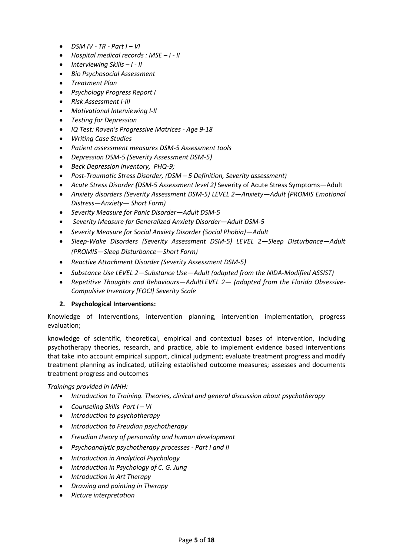- *DSM IV - TR - Part I – VI*
- *Hospital medical records : MSE – I - II*
- *Interviewing Skills – I - II*
- *Bio Psychosocial Assessment*
- *Treatment Plan*
- *Psychology Progress Report I*
- *Risk Assessment I-III*
- *Motivational Interviewing I-II*
- *Testing for Depression*
- *IQ Test: Raven's Progressive Matrices - Age 9-18*
- *Writing Case Studies*
- *Patient assessment measures DSM-5 Assessment tools*
- *Depression DSM-5 (Severity Assessment DSM-5)*
- *Beck Depression Inventory, PHQ-9;*
- *Post-Traumatic Stress Disorder, (DSM – 5 Definition, Severity assessment)*
- *Acute Stress Disorder (DSM-5 Assessment level 2)* Severity of Acute Stress Symptoms—Adult
- *Anxiety disorders (Severity Assessment DSM-5) LEVEL 2—Anxiety—Adult (PROMIS Emotional Distress—Anxiety— Short Form)*
- *Severity Measure for Panic Disorder—Adult DSM-5*
- *Severity Measure for Generalized Anxiety Disorder—Adult DSM-5*
- *Severity Measure for Social Anxiety Disorder (Social Phobia)—Adult*
- *Sleep-Wake Disorders (Severity Assessment DSM-5) LEVEL 2—Sleep Disturbance—Adult (PROMIS—Sleep Disturbance—Short Form)*
- *Reactive Attachment Disorder (Severity Assessment DSM-5)*
- *Substance Use LEVEL 2—Substance Use—Adult (adapted from the NIDA-Modified ASSIST)*
- *Repetitive Thoughts and Behaviours—AdultLEVEL 2— (adapted from the Florida Obsessive-Compulsive Inventory [FOCI] Severity Scale*

#### **2. Psychological Interventions:**

Knowledge of Interventions, intervention planning, intervention implementation, progress evaluation;

knowledge of scientific, theoretical, empirical and contextual bases of intervention, including psychotherapy theories, research, and practice, able to implement evidence based interventions that take into account empirical support, clinical judgment; evaluate treatment progress and modify treatment planning as indicated, utilizing established outcome measures; assesses and documents treatment progress and outcomes

#### *Trainings provided in MHH:*

- *Introduction to Training. Theories, clinical and general discussion about psychotherapy*
- *Counseling Skills Part I – VI*
- *Introduction to psychotherapy*
- *Introduction to Freudian psychotherapy*
- *Freudian theory of personality and human development*
- *Psychoanalytic psychotherapy processes - Part I and II*
- *Introduction in Analytical Psychology*
- *Introduction in Psychology of C. G. Jung*
- *Introduction in Art Therapy*
- *Drawing and painting in Therapy*
- *Picture interpretation*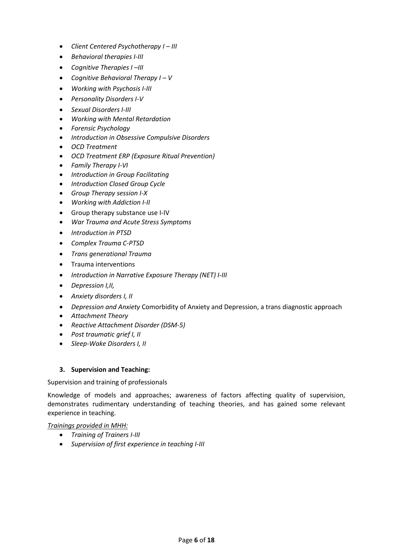- *Client Centered Psychotherapy I – III*
- *Behavioral therapies I-III*
- *Cognitive Therapies I –III*
- *Cognitive Behavioral Therapy I – V*
- *Working with Psychosis I-III*
- *Personality Disorders I-V*
- *Sexual Disorders I-III*
- *Working with Mental Retardation*
- *Forensic Psychology*
- *Introduction in Obsessive Compulsive Disorders*
- *OCD Treatment*
- *OCD Treatment ERP (Exposure Ritual Prevention)*
- *Family Therapy I-VI*
- *Introduction in Group Facilitating*
- *Introduction Closed Group Cycle*
- *Group Therapy session I-X*
- *Working with Addiction I-II*
- Group therapy substance use I-IV
- *War Trauma and Acute Stress Symptoms*
- *Introduction in PTSD*
- *Complex Trauma C-PTSD*
- *Trans generational Trauma*
- Trauma interventions
- *Introduction in Narrative Exposure Therapy (NET) I-III*
- *Depression I,II,*
- *Anxiety disorders I, II*
- *Depression and Anxiety* Comorbidity of Anxiety and Depression, a trans diagnostic approach
- *Attachment Theory*
- *Reactive Attachment Disorder (DSM-5)*
- *Post traumatic grief I, II*
- *Sleep-Wake Disorders I, II*

### **3. Supervision and Teaching:**

Supervision and training of professionals

Knowledge of models and approaches; awareness of factors affecting quality of supervision, demonstrates rudimentary understanding of teaching theories, and has gained some relevant experience in teaching.

*Trainings provided in MHH:*

- *Training of Trainers I-III*
- *Supervision of first experience in teaching I-III*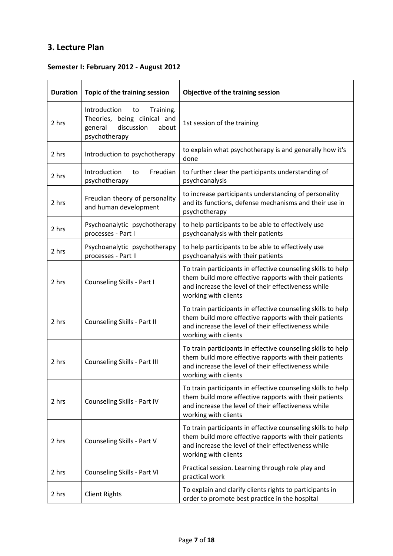# **3. Lecture Plan**

## **Semester I: February 2012 - August 2012**

| <b>Duration</b> | Topic of the training session                                                                                      | Objective of the training session                                                                                                                                                                     |
|-----------------|--------------------------------------------------------------------------------------------------------------------|-------------------------------------------------------------------------------------------------------------------------------------------------------------------------------------------------------|
| 2 hrs           | Introduction<br>Training.<br>to<br>Theories, being clinical and<br>discussion<br>about<br>general<br>psychotherapy | 1st session of the training                                                                                                                                                                           |
| 2 hrs           | Introduction to psychotherapy                                                                                      | to explain what psychotherapy is and generally how it's<br>done                                                                                                                                       |
| 2 hrs           | Introduction<br>Freudian<br>to<br>psychotherapy                                                                    | to further clear the participants understanding of<br>psychoanalysis                                                                                                                                  |
| 2 hrs           | Freudian theory of personality<br>and human development                                                            | to increase participants understanding of personality<br>and its functions, defense mechanisms and their use in<br>psychotherapy                                                                      |
| 2 hrs           | Psychoanalytic psychotherapy<br>processes - Part I                                                                 | to help participants to be able to effectively use<br>psychoanalysis with their patients                                                                                                              |
| 2 hrs           | Psychoanalytic psychotherapy<br>processes - Part II                                                                | to help participants to be able to effectively use<br>psychoanalysis with their patients                                                                                                              |
| 2 hrs           | Counseling Skills - Part I                                                                                         | To train participants in effective counseling skills to help<br>them build more effective rapports with their patients<br>and increase the level of their effectiveness while<br>working with clients |
| 2 hrs           | Counseling Skills - Part II                                                                                        | To train participants in effective counseling skills to help<br>them build more effective rapports with their patients<br>and increase the level of their effectiveness while<br>working with clients |
| 2 hrs           | Counseling Skills - Part III                                                                                       | To train participants in effective counseling skills to help<br>them build more effective rapports with their patients<br>and increase the level of their effectiveness while<br>working with clients |
| 2 hrs           | Counseling Skills - Part IV                                                                                        | To train participants in effective counseling skills to help<br>them build more effective rapports with their patients<br>and increase the level of their effectiveness while<br>working with clients |
| 2 hrs           | Counseling Skills - Part V                                                                                         | To train participants in effective counseling skills to help<br>them build more effective rapports with their patients<br>and increase the level of their effectiveness while<br>working with clients |
| 2 hrs           | Counseling Skills - Part VI                                                                                        | Practical session. Learning through role play and<br>practical work                                                                                                                                   |
| 2 hrs           | <b>Client Rights</b>                                                                                               | To explain and clarify clients rights to participants in<br>order to promote best practice in the hospital                                                                                            |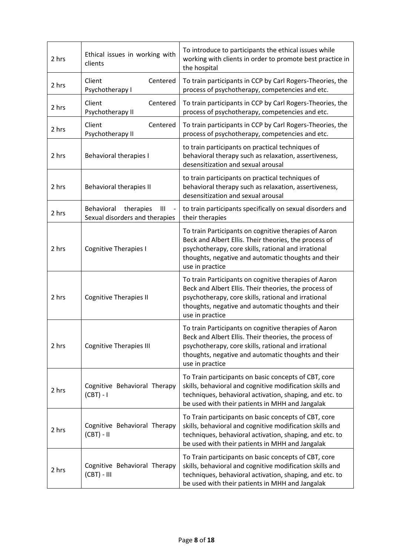| 2 hrs | Ethical issues in working with<br>clients                                   | To introduce to participants the ethical issues while<br>working with clients in order to promote best practice in<br>the hospital                                                                                                              |
|-------|-----------------------------------------------------------------------------|-------------------------------------------------------------------------------------------------------------------------------------------------------------------------------------------------------------------------------------------------|
| 2 hrs | Centered<br>Client<br>Psychotherapy I                                       | To train participants in CCP by Carl Rogers-Theories, the<br>process of psychotherapy, competencies and etc.                                                                                                                                    |
| 2 hrs | Client<br>Centered<br>Psychotherapy II                                      | To train participants in CCP by Carl Rogers-Theories, the<br>process of psychotherapy, competencies and etc.                                                                                                                                    |
| 2 hrs | Client<br>Centered<br>Psychotherapy II                                      | To train participants in CCP by Carl Rogers-Theories, the<br>process of psychotherapy, competencies and etc.                                                                                                                                    |
| 2 hrs | <b>Behavioral therapies I</b>                                               | to train participants on practical techniques of<br>behavioral therapy such as relaxation, assertiveness,<br>desensitization and sexual arousal                                                                                                 |
| 2 hrs | Behavioral therapies II                                                     | to train participants on practical techniques of<br>behavioral therapy such as relaxation, assertiveness,<br>desensitization and sexual arousal                                                                                                 |
| 2 hrs | therapies<br>Behavioral<br>$\mathbf{III}$<br>Sexual disorders and therapies | to train participants specifically on sexual disorders and<br>their therapies                                                                                                                                                                   |
| 2 hrs | <b>Cognitive Therapies I</b>                                                | To train Participants on cognitive therapies of Aaron<br>Beck and Albert Ellis. Their theories, the process of<br>psychotherapy, core skills, rational and irrational<br>thoughts, negative and automatic thoughts and their<br>use in practice |
| 2 hrs | <b>Cognitive Therapies II</b>                                               | To train Participants on cognitive therapies of Aaron<br>Beck and Albert Ellis. Their theories, the process of<br>psychotherapy, core skills, rational and irrational<br>thoughts, negative and automatic thoughts and their<br>use in practice |
| 2 hrs | <b>Cognitive Therapies III</b>                                              | To train Participants on cognitive therapies of Aaron<br>Beck and Albert Ellis. Their theories, the process of<br>psychotherapy, core skills, rational and irrational<br>thoughts, negative and automatic thoughts and their<br>use in practice |
| 2 hrs | Cognitive Behavioral Therapy<br>$(CBT) - I$                                 | To Train participants on basic concepts of CBT, core<br>skills, behavioral and cognitive modification skills and<br>techniques, behavioral activation, shaping, and etc. to<br>be used with their patients in MHH and Jangalak                  |
| 2 hrs | Cognitive Behavioral Therapy<br>$(CBT) - II$                                | To Train participants on basic concepts of CBT, core<br>skills, behavioral and cognitive modification skills and<br>techniques, behavioral activation, shaping, and etc. to<br>be used with their patients in MHH and Jangalak                  |
| 2 hrs | Cognitive Behavioral Therapy<br>$(CBT) - III$                               | To Train participants on basic concepts of CBT, core<br>skills, behavioral and cognitive modification skills and<br>techniques, behavioral activation, shaping, and etc. to<br>be used with their patients in MHH and Jangalak                  |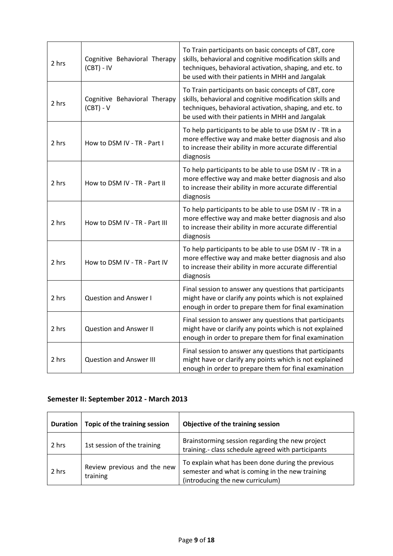| 2 hrs | Cognitive Behavioral Therapy<br>$(CBT) - IV$ | To Train participants on basic concepts of CBT, core<br>skills, behavioral and cognitive modification skills and<br>techniques, behavioral activation, shaping, and etc. to<br>be used with their patients in MHH and Jangalak |
|-------|----------------------------------------------|--------------------------------------------------------------------------------------------------------------------------------------------------------------------------------------------------------------------------------|
| 2 hrs | Cognitive Behavioral Therapy<br>$(CBT) - V$  | To Train participants on basic concepts of CBT, core<br>skills, behavioral and cognitive modification skills and<br>techniques, behavioral activation, shaping, and etc. to<br>be used with their patients in MHH and Jangalak |
| 2 hrs | How to DSM IV - TR - Part I                  | To help participants to be able to use DSM IV - TR in a<br>more effective way and make better diagnosis and also<br>to increase their ability in more accurate differential<br>diagnosis                                       |
| 2 hrs | How to DSM IV - TR - Part II                 | To help participants to be able to use DSM IV - TR in a<br>more effective way and make better diagnosis and also<br>to increase their ability in more accurate differential<br>diagnosis                                       |
| 2 hrs | How to DSM IV - TR - Part III                | To help participants to be able to use DSM IV - TR in a<br>more effective way and make better diagnosis and also<br>to increase their ability in more accurate differential<br>diagnosis                                       |
| 2 hrs | How to DSM IV - TR - Part IV                 | To help participants to be able to use DSM IV - TR in a<br>more effective way and make better diagnosis and also<br>to increase their ability in more accurate differential<br>diagnosis                                       |
| 2 hrs | <b>Question and Answer I</b>                 | Final session to answer any questions that participants<br>might have or clarify any points which is not explained<br>enough in order to prepare them for final examination                                                    |
| 2 hrs | <b>Question and Answer II</b>                | Final session to answer any questions that participants<br>might have or clarify any points which is not explained<br>enough in order to prepare them for final examination                                                    |
| 2 hrs | <b>Question and Answer III</b>               | Final session to answer any questions that participants<br>might have or clarify any points which is not explained<br>enough in order to prepare them for final examination                                                    |

# **Semester II: September 2012 - March 2013**

| <b>Duration</b> | Topic of the training session           | Objective of the training session                                                                                                        |
|-----------------|-----------------------------------------|------------------------------------------------------------------------------------------------------------------------------------------|
| 2 hrs           | 1st session of the training             | Brainstorming session regarding the new project<br>training.- class schedule agreed with participants                                    |
| 2 hrs           | Review previous and the new<br>training | To explain what has been done during the previous<br>semester and what is coming in the new training<br>(introducing the new curriculum) |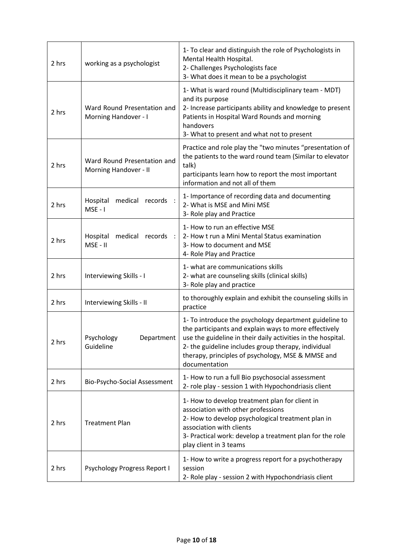| 2 hrs | working as a psychologist                            | 1- To clear and distinguish the role of Psychologists in<br>Mental Health Hospital.<br>2- Challenges Psychologists face<br>3- What does it mean to be a psychologist                                                                                                                                         |
|-------|------------------------------------------------------|--------------------------------------------------------------------------------------------------------------------------------------------------------------------------------------------------------------------------------------------------------------------------------------------------------------|
| 2 hrs | Ward Round Presentation and<br>Morning Handover - I  | 1- What is ward round (Multidisciplinary team - MDT)<br>and its purpose<br>2- Increase participants ability and knowledge to present<br>Patients in Hospital Ward Rounds and morning<br>handovers<br>3- What to present and what not to present                                                              |
| 2 hrs | Ward Round Presentation and<br>Morning Handover - II | Practice and role play the "two minutes "presentation of<br>the patients to the ward round team (Similar to elevator<br>talk)<br>participants learn how to report the most important<br>information and not all of them                                                                                      |
| 2 hrs | medical<br>records :<br>Hospital<br>$MSE - I$        | 1- Importance of recording data and documenting<br>2- What is MSE and Mini MSE<br>3- Role play and Practice                                                                                                                                                                                                  |
| 2 hrs | Hospital<br>medical records :<br>MSE - II            | 1- How to run an effective MSE<br>2- How t run a Mini Mental Status examination<br>3- How to document and MSE<br>4- Role Play and Practice                                                                                                                                                                   |
| 2 hrs | Interviewing Skills - I                              | 1- what are communications skills<br>2- what are counseling skills (clinical skills)<br>3- Role play and practice                                                                                                                                                                                            |
| 2 hrs | Interviewing Skills - II                             | to thoroughly explain and exhibit the counseling skills in<br>practice                                                                                                                                                                                                                                       |
| 2 hrs | Psychology<br>Department<br>Guideline                | 1- To introduce the psychology department guideline to<br>the participants and explain ways to more effectively<br>use the guideline in their daily activities in the hospital.<br>2- the guideline includes group therapy, individual<br>therapy, principles of psychology, MSE & MMSE and<br>documentation |
| 2 hrs | Bio-Psycho-Social Assessment                         | 1- How to run a full Bio psychosocial assessment<br>2- role play - session 1 with Hypochondriasis client                                                                                                                                                                                                     |
| 2 hrs | <b>Treatment Plan</b>                                | 1- How to develop treatment plan for client in<br>association with other professions<br>2- How to develop psychological treatment plan in<br>association with clients<br>3- Practical work: develop a treatment plan for the role<br>play client in 3 teams                                                  |
| 2 hrs | Psychology Progress Report I                         | 1- How to write a progress report for a psychotherapy<br>session<br>2- Role play - session 2 with Hypochondriasis client                                                                                                                                                                                     |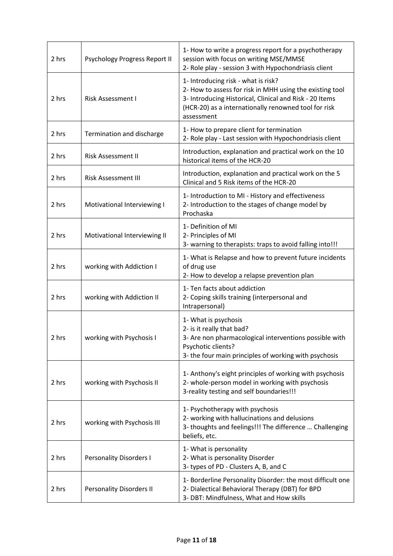| 2 hrs | Psychology Progress Report II   | 1- How to write a progress report for a psychotherapy<br>session with focus on writing MSE/MMSE<br>2- Role play - session 3 with Hypochondriasis client                                                                          |
|-------|---------------------------------|----------------------------------------------------------------------------------------------------------------------------------------------------------------------------------------------------------------------------------|
| 2 hrs | Risk Assessment I               | 1- Introducing risk - what is risk?<br>2- How to assess for risk in MHH using the existing tool<br>3- Introducing Historical, Clinical and Risk - 20 Items<br>(HCR-20) as a internationally renowned tool for risk<br>assessment |
| 2 hrs | Termination and discharge       | 1- How to prepare client for termination<br>2- Role play - Last session with Hypochondriasis client                                                                                                                              |
| 2 hrs | <b>Risk Assessment II</b>       | Introduction, explanation and practical work on the 10<br>historical items of the HCR-20                                                                                                                                         |
| 2 hrs | <b>Risk Assessment III</b>      | Introduction, explanation and practical work on the 5<br>Clinical and 5 Risk items of the HCR-20                                                                                                                                 |
| 2 hrs | Motivational Interviewing I     | 1- Introduction to MI - History and effectiveness<br>2- Introduction to the stages of change model by<br>Prochaska                                                                                                               |
| 2 hrs | Motivational Interviewing II    | 1- Definition of MI<br>2- Principles of MI<br>3- warning to therapists: traps to avoid falling into!!!                                                                                                                           |
| 2 hrs | working with Addiction I        | 1- What is Relapse and how to prevent future incidents<br>of drug use<br>2- How to develop a relapse prevention plan                                                                                                             |
| 2 hrs | working with Addiction II       | 1- Ten facts about addiction<br>2- Coping skills training (interpersonal and<br>Intrapersonal)                                                                                                                                   |
| 2 hrs | working with Psychosis I        | 1- What is psychosis<br>2- is it really that bad?<br>3- Are non pharmacological interventions possible with<br>Psychotic clients?<br>3- the four main principles of working with psychosis                                       |
| 2 hrs | working with Psychosis II       | 1- Anthony's eight principles of working with psychosis<br>2- whole-person model in working with psychosis<br>3-reality testing and self boundaries!!!                                                                           |
| 2 hrs | working with Psychosis III      | 1- Psychotherapy with psychosis<br>2- working with hallucinations and delusions<br>3- thoughts and feelings!!! The difference  Challenging<br>beliefs, etc.                                                                      |
| 2 hrs | <b>Personality Disorders I</b>  | 1- What is personality<br>2- What is personality Disorder<br>3- types of PD - Clusters A, B, and C                                                                                                                               |
| 2 hrs | <b>Personality Disorders II</b> | 1- Borderline Personality Disorder: the most difficult one<br>2- Dialectical Behavioral Therapy (DBT) for BPD<br>3- DBT: Mindfulness, What and How skills                                                                        |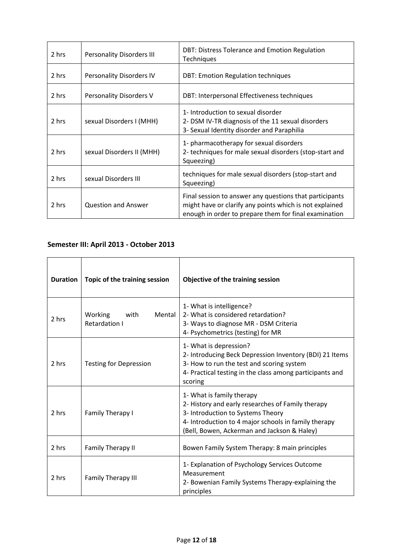| 2 hrs | <b>Personality Disorders III</b> | DBT: Distress Tolerance and Emotion Regulation<br>Techniques                                                                                                                |
|-------|----------------------------------|-----------------------------------------------------------------------------------------------------------------------------------------------------------------------------|
| 2 hrs | Personality Disorders IV         | <b>DBT: Emotion Regulation techniques</b>                                                                                                                                   |
| 2 hrs | Personality Disorders V          | DBT: Interpersonal Effectiveness techniques                                                                                                                                 |
| 2 hrs | sexual Disorders I (MHH)         | 1- Introduction to sexual disorder<br>2- DSM IV-TR diagnosis of the 11 sexual disorders<br>3- Sexual Identity disorder and Paraphilia                                       |
| 2 hrs | sexual Disorders II (MHH)        | 1- pharmacotherapy for sexual disorders<br>2- techniques for male sexual disorders (stop-start and<br>Squeezing)                                                            |
| 2 hrs | sexual Disorders III             | techniques for male sexual disorders (stop-start and<br>Squeezing)                                                                                                          |
| 2 hrs | <b>Question and Answer</b>       | Final session to answer any questions that participants<br>might have or clarify any points which is not explained<br>enough in order to prepare them for final examination |

# **Semester III: April 2013 - October 2013**

| <b>Duration</b> | Topic of the training session              | Objective of the training session                                                                                                                                                                                          |
|-----------------|--------------------------------------------|----------------------------------------------------------------------------------------------------------------------------------------------------------------------------------------------------------------------------|
| 2 hrs           | Mental<br>with<br>Working<br>Retardation I | 1- What is intelligence?<br>2- What is considered retardation?<br>3- Ways to diagnose MR - DSM Criteria<br>4- Psychometrics (testing) for MR                                                                               |
| 2 hrs           | <b>Testing for Depression</b>              | 1- What is depression?<br>2- Introducing Beck Depression Inventory (BDI) 21 Items<br>3- How to run the test and scoring system<br>4- Practical testing in the class among participants and<br>scoring                      |
| 2 hrs           | Family Therapy I                           | 1- What is family therapy<br>2- History and early researches of Family therapy<br>3- Introduction to Systems Theory<br>4- Introduction to 4 major schools in family therapy<br>(Bell, Bowen, Ackerman and Jackson & Haley) |
| 2 hrs           | Family Therapy II                          | Bowen Family System Therapy: 8 main principles                                                                                                                                                                             |
| 2 hrs           | <b>Family Therapy III</b>                  | 1- Explanation of Psychology Services Outcome<br>Measurement<br>2- Bowenian Family Systems Therapy-explaining the<br>principles                                                                                            |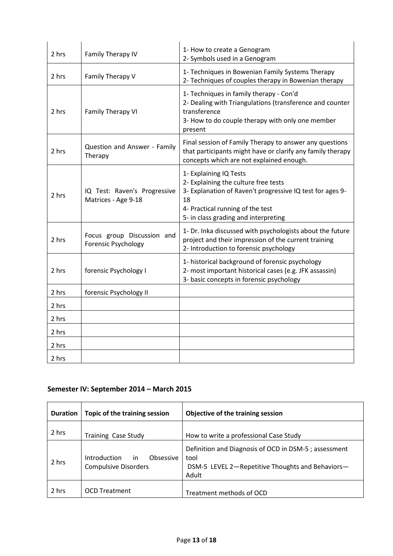| 2 hrs | Family Therapy IV                                        | 1- How to create a Genogram<br>2- Symbols used in a Genogram                                                                                                                                                  |
|-------|----------------------------------------------------------|---------------------------------------------------------------------------------------------------------------------------------------------------------------------------------------------------------------|
| 2 hrs | Family Therapy V                                         | 1- Techniques in Bowenian Family Systems Therapy<br>2- Techniques of couples therapy in Bowenian therapy                                                                                                      |
| 2 hrs | Family Therapy VI                                        | 1- Techniques in family therapy - Con'd<br>2- Dealing with Triangulations (transference and counter<br>transference<br>3- How to do couple therapy with only one member<br>present                            |
| 2 hrs | Question and Answer - Family<br>Therapy                  | Final session of Family Therapy to answer any questions<br>that participants might have or clarify any family therapy<br>concepts which are not explained enough.                                             |
| 2 hrs | IQ Test: Raven's Progressive<br>Matrices - Age 9-18      | 1- Explaining IQ Tests<br>2- Explaining the culture free tests<br>3- Explanation of Raven't progressive IQ test for ages 9-<br>18<br>4- Practical running of the test<br>5- in class grading and interpreting |
| 2 hrs | Focus group Discussion and<br><b>Forensic Psychology</b> | 1- Dr. Inka discussed with psychologists about the future<br>project and their impression of the current training<br>2- Introduction to forensic psychology                                                   |
| 2 hrs | forensic Psychology I                                    | 1- historical background of forensic psychology<br>2- most important historical cases (e.g. JFK assassin)<br>3- basic concepts in forensic psychology                                                         |
| 2 hrs | forensic Psychology II                                   |                                                                                                                                                                                                               |
| 2 hrs |                                                          |                                                                                                                                                                                                               |
| 2 hrs |                                                          |                                                                                                                                                                                                               |
| 2 hrs |                                                          |                                                                                                                                                                                                               |
| 2 hrs |                                                          |                                                                                                                                                                                                               |
| 2 hrs |                                                          |                                                                                                                                                                                                               |

# **Semester IV: September 2014 – March 2015**

| <b>Duration</b> | Topic of the training session                                   | Objective of the training session                                                                                         |
|-----------------|-----------------------------------------------------------------|---------------------------------------------------------------------------------------------------------------------------|
| 2 hrs           | <b>Training Case Study</b>                                      | How to write a professional Case Study                                                                                    |
| 2 hrs           | Introduction<br>Obsessive<br>in.<br><b>Compulsive Disorders</b> | Definition and Diagnosis of OCD in DSM-5; assessment<br>tool<br>DSM-5 LEVEL 2-Repetitive Thoughts and Behaviors-<br>Adult |
| 2 hrs           | <b>OCD Treatment</b>                                            | Treatment methods of OCD                                                                                                  |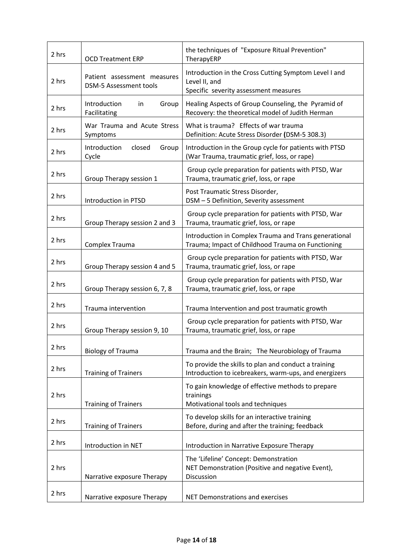| 2 hrs | <b>OCD Treatment ERP</b>                                     | the techniques of "Exposure Ritual Prevention"<br>TherapyERP                                                    |
|-------|--------------------------------------------------------------|-----------------------------------------------------------------------------------------------------------------|
| 2 hrs | Patient assessment measures<br><b>DSM-5 Assessment tools</b> | Introduction in the Cross Cutting Symptom Level I and<br>Level II, and<br>Specific severity assessment measures |
| 2 hrs | Introduction<br>Group<br>in.<br>Facilitating                 | Healing Aspects of Group Counseling, the Pyramid of<br>Recovery: the theoretical model of Judith Herman         |
| 2 hrs | War Trauma and Acute Stress<br>Symptoms                      | What is trauma? Effects of war trauma<br>Definition: Acute Stress Disorder (DSM-5 308.3)                        |
| 2 hrs | Introduction<br>closed<br>Group<br>Cycle                     | Introduction in the Group cycle for patients with PTSD<br>(War Trauma, traumatic grief, loss, or rape)          |
| 2 hrs | Group Therapy session 1                                      | Group cycle preparation for patients with PTSD, War<br>Trauma, traumatic grief, loss, or rape                   |
| 2 hrs | Introduction in PTSD                                         | Post Traumatic Stress Disorder,<br>DSM - 5 Definition, Severity assessment                                      |
| 2 hrs | Group Therapy session 2 and 3                                | Group cycle preparation for patients with PTSD, War<br>Trauma, traumatic grief, loss, or rape                   |
| 2 hrs | Complex Trauma                                               | Introduction in Complex Trauma and Trans generational<br>Trauma; Impact of Childhood Trauma on Functioning      |
| 2 hrs | Group Therapy session 4 and 5                                | Group cycle preparation for patients with PTSD, War<br>Trauma, traumatic grief, loss, or rape                   |
| 2 hrs | Group Therapy session 6, 7, 8                                | Group cycle preparation for patients with PTSD, War<br>Trauma, traumatic grief, loss, or rape                   |
| 2 hrs | Trauma intervention                                          | Trauma Intervention and post traumatic growth                                                                   |
| 2 hrs | Group Therapy session 9, 10                                  | Group cycle preparation for patients with PTSD, War<br>Trauma, traumatic grief, loss, or rape                   |
| 2 hrs | <b>Biology of Trauma</b>                                     | Trauma and the Brain; The Neurobiology of Trauma                                                                |
| 2 hrs | <b>Training of Trainers</b>                                  | To provide the skills to plan and conduct a training<br>Introduction to icebreakers, warm-ups, and energizers   |
| 2 hrs | <b>Training of Trainers</b>                                  | To gain knowledge of effective methods to prepare<br>trainings<br>Motivational tools and techniques             |
| 2 hrs | <b>Training of Trainers</b>                                  | To develop skills for an interactive training<br>Before, during and after the training; feedback                |
| 2 hrs | Introduction in NET                                          | Introduction in Narrative Exposure Therapy                                                                      |
| 2 hrs | Narrative exposure Therapy                                   | The 'Lifeline' Concept: Demonstration<br>NET Demonstration (Positive and negative Event),<br>Discussion         |
| 2 hrs | Narrative exposure Therapy                                   | <b>NET Demonstrations and exercises</b>                                                                         |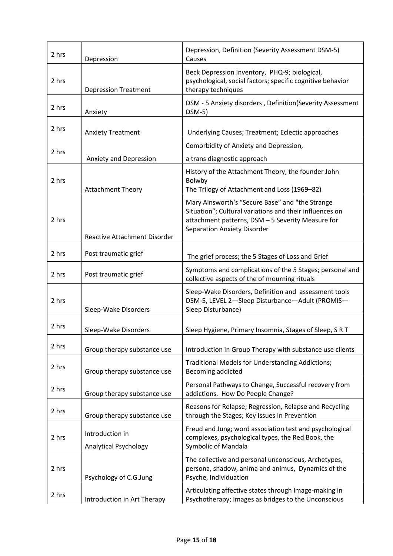| 2 hrs | Depression                               | Depression, Definition (Severity Assessment DSM-5)<br>Causes                                                                                                                                          |
|-------|------------------------------------------|-------------------------------------------------------------------------------------------------------------------------------------------------------------------------------------------------------|
| 2 hrs | <b>Depression Treatment</b>              | Beck Depression Inventory, PHQ-9; biological,<br>psychological, social factors; specific cognitive behavior<br>therapy techniques                                                                     |
| 2 hrs | Anxiety                                  | DSM - 5 Anxiety disorders, Definition(Severity Assessment<br>$DSM-5)$                                                                                                                                 |
| 2 hrs | <b>Anxiety Treatment</b>                 | Underlying Causes; Treatment; Eclectic approaches                                                                                                                                                     |
| 2 hrs | Anxiety and Depression                   | Comorbidity of Anxiety and Depression,<br>a trans diagnostic approach                                                                                                                                 |
| 2 hrs | <b>Attachment Theory</b>                 | History of the Attachment Theory, the founder John<br>Bolwby<br>The Trilogy of Attachment and Loss (1969-82)                                                                                          |
| 2 hrs | <b>Reactive Attachment Disorder</b>      | Mary Ainsworth's "Secure Base" and "the Strange<br>Situation"; Cultural variations and their influences on<br>attachment patterns, DSM - 5 Severity Measure for<br><b>Separation Anxiety Disorder</b> |
| 2 hrs | Post traumatic grief                     | The grief process; the 5 Stages of Loss and Grief                                                                                                                                                     |
| 2 hrs | Post traumatic grief                     | Symptoms and complications of the 5 Stages; personal and<br>collective aspects of the of mourning rituals                                                                                             |
| 2 hrs | Sleep-Wake Disorders                     | Sleep-Wake Disorders, Definition and assessment tools<br>DSM-5, LEVEL 2-Sleep Disturbance-Adult (PROMIS-<br>Sleep Disturbance)                                                                        |
| 2 hrs | Sleep-Wake Disorders                     | Sleep Hygiene, Primary Insomnia, Stages of Sleep, SRT                                                                                                                                                 |
| 2 hrs | Group therapy substance use              | Introduction in Group Therapy with substance use clients                                                                                                                                              |
| 2 hrs | Group therapy substance use              | Traditional Models for Understanding Addictions;<br>Becoming addicted                                                                                                                                 |
| 2 hrs | Group therapy substance use              | Personal Pathways to Change, Successful recovery from<br>addictions. How Do People Change?                                                                                                            |
| 2 hrs | Group therapy substance use              | Reasons for Relapse; Regression, Relapse and Recycling<br>through the Stages; Key Issues In Prevention                                                                                                |
| 2 hrs | Introduction in<br>Analytical Psychology | Freud and Jung; word association test and psychological<br>complexes, psychological types, the Red Book, the<br>Symbolic of Mandala                                                                   |
| 2 hrs | Psychology of C.G.Jung                   | The collective and personal unconscious, Archetypes,<br>persona, shadow, anima and animus, Dynamics of the<br>Psyche, Individuation                                                                   |
| 2 hrs | Introduction in Art Therapy              | Articulating affective states through Image-making in<br>Psychotherapy; Images as bridges to the Unconscious                                                                                          |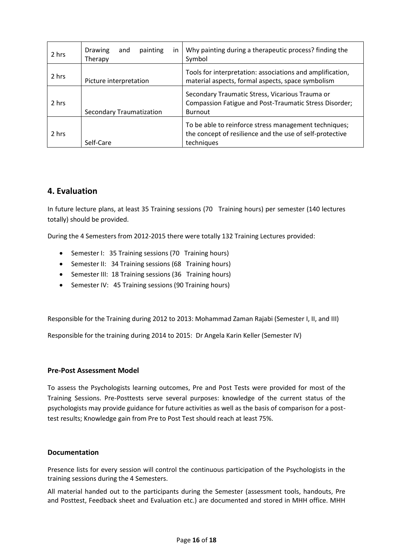| 2 hrs | <b>Drawing</b><br>painting<br>and<br>in<br>Therapy | Why painting during a therapeutic process? finding the<br>Symbol                                                                |
|-------|----------------------------------------------------|---------------------------------------------------------------------------------------------------------------------------------|
| 2 hrs | Picture interpretation                             | Tools for interpretation: associations and amplification,<br>material aspects, formal aspects, space symbolism                  |
| 2 hrs | <b>Secondary Traumatization</b>                    | Secondary Traumatic Stress, Vicarious Trauma or<br>Compassion Fatigue and Post-Traumatic Stress Disorder;<br><b>Burnout</b>     |
| 2 hrs | Self-Care                                          | To be able to reinforce stress management techniques;<br>the concept of resilience and the use of self-protective<br>techniques |

### **4. Evaluation**

In future lecture plans, at least 35 Training sessions (70 Training hours) per semester (140 lectures totally) should be provided.

During the 4 Semesters from 2012-2015 there were totally 132 Training Lectures provided:

- Semester I: 35 Training sessions (70 Training hours)
- Semester II: 34 Training sessions (68 Training hours)
- Semester III: 18 Training sessions (36 Training hours)
- Semester IV: 45 Training sessions (90 Training hours)

Responsible for the Training during 2012 to 2013: Mohammad Zaman Rajabi (Semester I, II, and III)

Responsible for the training during 2014 to 2015: Dr Angela Karin Keller (Semester IV)

#### **Pre-Post Assessment Model**

To assess the Psychologists learning outcomes, Pre and Post Tests were provided for most of the Training Sessions. Pre-Posttests serve several purposes: knowledge of the current status of the psychologists may provide guidance for future activities as well as the basis of comparison for a posttest results; Knowledge gain from Pre to Post Test should reach at least 75%.

#### **Documentation**

Presence lists for every session will control the continuous participation of the Psychologists in the training sessions during the 4 Semesters.

All material handed out to the participants during the Semester (assessment tools, handouts, Pre and Posttest, Feedback sheet and Evaluation etc.) are documented and stored in MHH office. MHH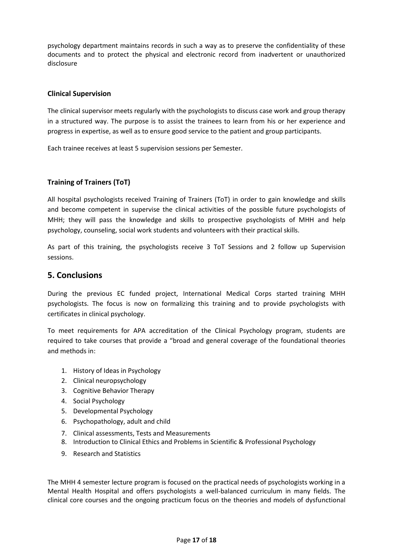psychology department maintains records in such a way as to preserve the confidentiality of these documents and to protect the physical and electronic record from inadvertent or unauthorized disclosure

### **Clinical Supervision**

The clinical supervisor meets regularly with the psychologists to discuss case work and group therapy in a structured way. The purpose is to assist the trainees to learn from his or her experience and progress in expertise, as well as to ensure good service to the patient and group participants.

Each trainee receives at least 5 supervision sessions per Semester.

### **Training of Trainers (ToT)**

All hospital psychologists received Training of Trainers (ToT) in order to gain knowledge and skills and become competent in supervise the clinical activities of the possible future psychologists of MHH; they will pass the knowledge and skills to prospective psychologists of MHH and help psychology, counseling, social work students and volunteers with their practical skills.

As part of this training, the psychologists receive 3 ToT Sessions and 2 follow up Supervision sessions.

### **5. Conclusions**

During the previous EC funded project, International Medical Corps started training MHH psychologists. The focus is now on formalizing this training and to provide psychologists with certificates in clinical psychology.

To meet requirements for APA accreditation of the Clinical Psychology program, students are required to take courses that provide a "broad and general coverage of the foundational theories and methods in:

- 1. History of Ideas in Psychology
- 2. Clinical neuropsychology
- 3. Cognitive Behavior Therapy
- 4. Social Psychology
- 5. Developmental Psychology
- 6. Psychopathology, adult and child
- 7. Clinical assessments, Tests and Measurements
- 8. Introduction to Clinical Ethics and Problems in Scientific & Professional Psychology
- 9. Research and Statistics

The MHH 4 semester lecture program is focused on the practical needs of psychologists working in a Mental Health Hospital and offers psychologists a well-balanced curriculum in many fields. The clinical core courses and the ongoing practicum focus on the theories and models of dysfunctional